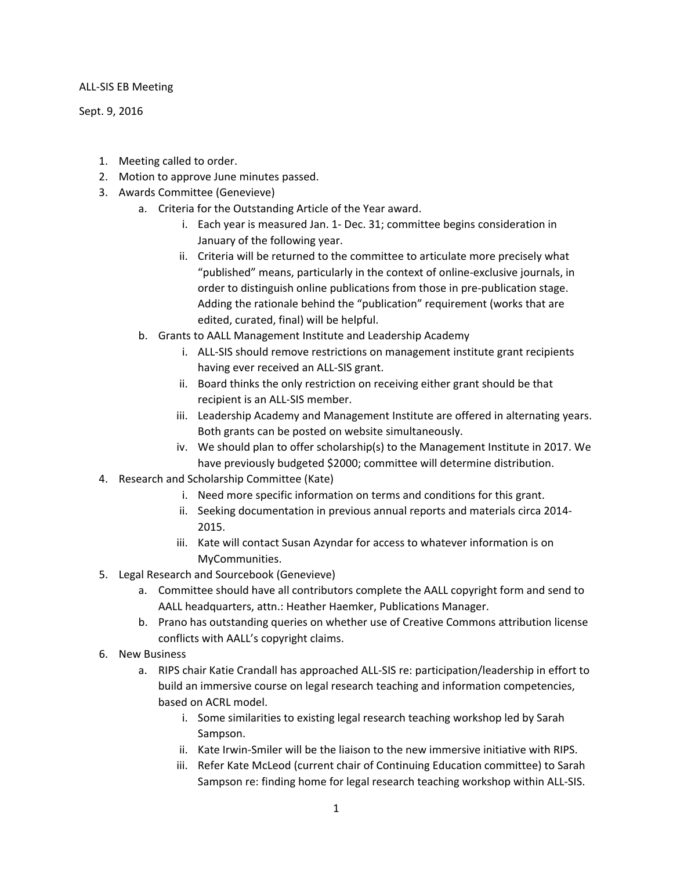## ALL-SIS EB Meeting

Sept. 9, 2016

- 1. Meeting called to order.
- 2. Motion to approve June minutes passed.
- 3. Awards Committee (Genevieve)
	- a. Criteria for the Outstanding Article of the Year award.
		- i. Each year is measured Jan. 1- Dec. 31; committee begins consideration in January of the following year.
		- ii. Criteria will be returned to the committee to articulate more precisely what "published" means, particularly in the context of online-exclusive journals, in order to distinguish online publications from those in pre-publication stage. Adding the rationale behind the "publication" requirement (works that are edited, curated, final) will be helpful.
	- b. Grants to AALL Management Institute and Leadership Academy
		- i. ALL-SIS should remove restrictions on management institute grant recipients having ever received an ALL-SIS grant.
		- ii. Board thinks the only restriction on receiving either grant should be that recipient is an ALL-SIS member.
		- iii. Leadership Academy and Management Institute are offered in alternating years. Both grants can be posted on website simultaneously.
		- iv. We should plan to offer scholarship(s) to the Management Institute in 2017. We have previously budgeted \$2000; committee will determine distribution.
- 4. Research and Scholarship Committee (Kate)
	- i. Need more specific information on terms and conditions for this grant.
	- ii. Seeking documentation in previous annual reports and materials circa 2014- 2015.
	- iii. Kate will contact Susan Azyndar for access to whatever information is on MyCommunities.
- 5. Legal Research and Sourcebook (Genevieve)
	- a. Committee should have all contributors complete the AALL copyright form and send to AALL headquarters, attn.: Heather Haemker, Publications Manager.
	- b. Prano has outstanding queries on whether use of Creative Commons attribution license conflicts with AALL's copyright claims.
- 6. New Business
	- a. RIPS chair Katie Crandall has approached ALL-SIS re: participation/leadership in effort to build an immersive course on legal research teaching and information competencies, based on ACRL model.
		- i. Some similarities to existing legal research teaching workshop led by Sarah Sampson.
		- ii. Kate Irwin-Smiler will be the liaison to the new immersive initiative with RIPS.
		- iii. Refer Kate McLeod (current chair of Continuing Education committee) to Sarah Sampson re: finding home for legal research teaching workshop within ALL-SIS.